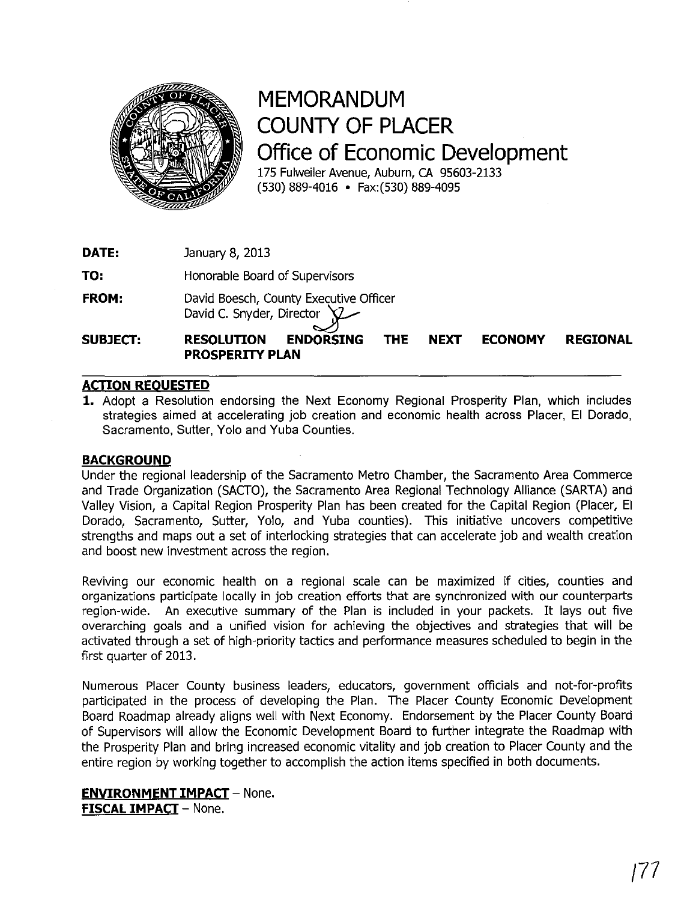

## **MEMORANDUM COUNTY OF PLACER Office of Economic Development**

175 Fulweiler Avenue, Auburn, CA 95603-2133 (530) 889-4016 • Fax:(530) 889-4095

**DATE:**  January 8, 2013

**TO:**  Honorable Board of Supervisors

**FROM:**  David Boesch, County Executive Officer David C. Snyder, Director

**SUBJECT: RESOLUTION ENDORSING THE NEXT ECONOMY REGIONAL PROSPERITY PLAN** 

## **ACTION REOUESTED**

1. Adopt a Resolution endorsing the Next Economy Regional Prosperity Plan, which includes strategies aimed at accelerating job creation and economic health across Placer, EI Dorado, Sacramento, Sutter, Yolo and Yuba Counties.

## **BACKGROUND**

Under the regional leadership of the Sacramento Metro Chamber, the Sacramento Area Commerce and Trade Organization (SACTO), the Sacramento Area Regional Technology Alliance (SARTA) and Valley Vision, a Capital Region Prosperity Plan has been created for the Capital Region (Placer, EI Dorado, Sacramento, Sutter, Yolo, and Yuba counties). This initiative uncovers competitive strengths and maps out a set of interlocking strategies that can accelerate job and wealth creation and boost new investment across the region.

Reviving our economic health on a regional scale can be maximized if cities, counties and organizations participate locally in job creation efforts that are synchronized with our counterparts region-wide. An executive summary of the Plan is included in your packets. It lays out five overarching goals and a unified vision for achieving the objectives and strategies that will be activated through a set of high-priority tactics and performance measures scheduled to begin in the first quarter of 2013.

Numerous Placer County business leaders, educators, government officials and not-for-profits participated in the process of developing the Plan. The Placer County Economic Development Board Roadmap already aligns well with Next Economy. Endorsement by the Placer County Board of Supervisors will allow the Economic Development Board to further integrate the Roadmap with the Prosperity Plan and bring increased economic vitality and job creation to Placer County and the entire region by working together to accomplish the action items specified in both documents.

## **ENVIRONMENT IMPACT** - None. **FISCAL IMPACT** - None.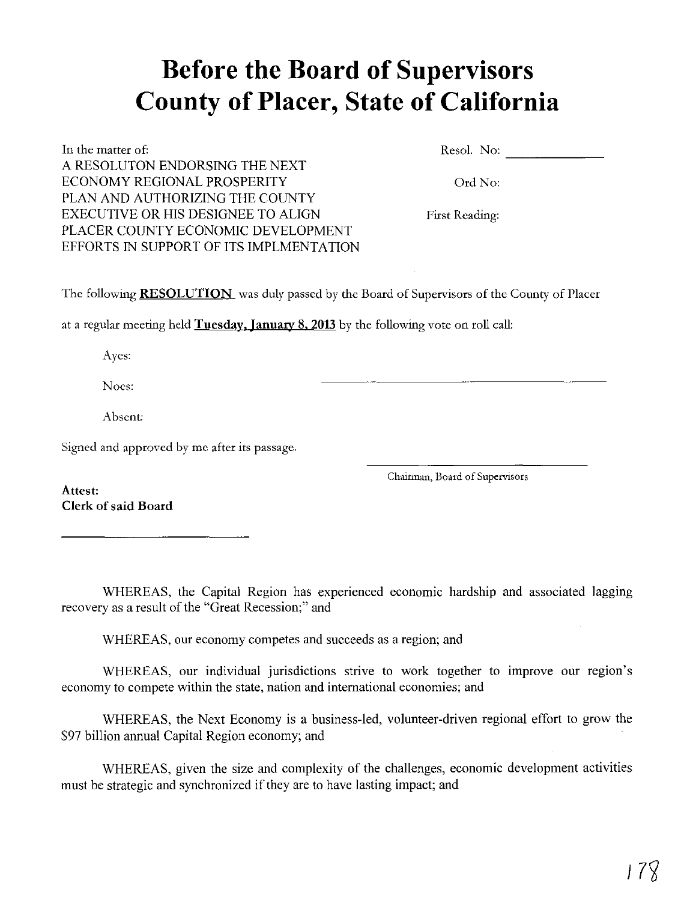# **Before the Board of Supervisors County of Placer, State of California**

In the matter of: A RESOLUTON ENDORSING THE NEXT ECONOMY REGIONAL PROSPERITY PLAN AND AUTHORIZING THE COUNTY EXECUTIVE OR HIS DESIGNEE TO ALIGN PLACER COUNTY ECONOMIC DEVELOPMENT EFFORTS IN SUPPORT OF ITS IMPLMENTATION Reso!. No: \_\_\_\_\_ \_

Ord No:

First Reading:

The following **RESOLUTION** was duly passed by the Board of Supervisors of the County of Placer

at a regular meeting held Tuesday, January 8, 2013 by the following vote on roll call:

Ayes:

Noes: ---------------

Absent:

Signed and approved by me after its passage.

Chairman, Board of Supervisors

Attest: Clerk of said Board

WHEREAS, the Capital Region has experienced economic hardship and associated lagging recovery as a result of the "Great Recession;" and

WHEREAS, our economy competes and succeeds as a region; and

WHEREAS, our individual jurisdictions strive to work together to improve our region's economy to compete within the state, nation and international economies; and

WHEREAS, the Next Economy is a business-led, volunteer-driven regional effort to grow the \$97 billion annual Capital Region economy; and

WHEREAS, given the size and complexity of the challenges, economic development activities must be strategic and synchronized if they are to have lasting impact; and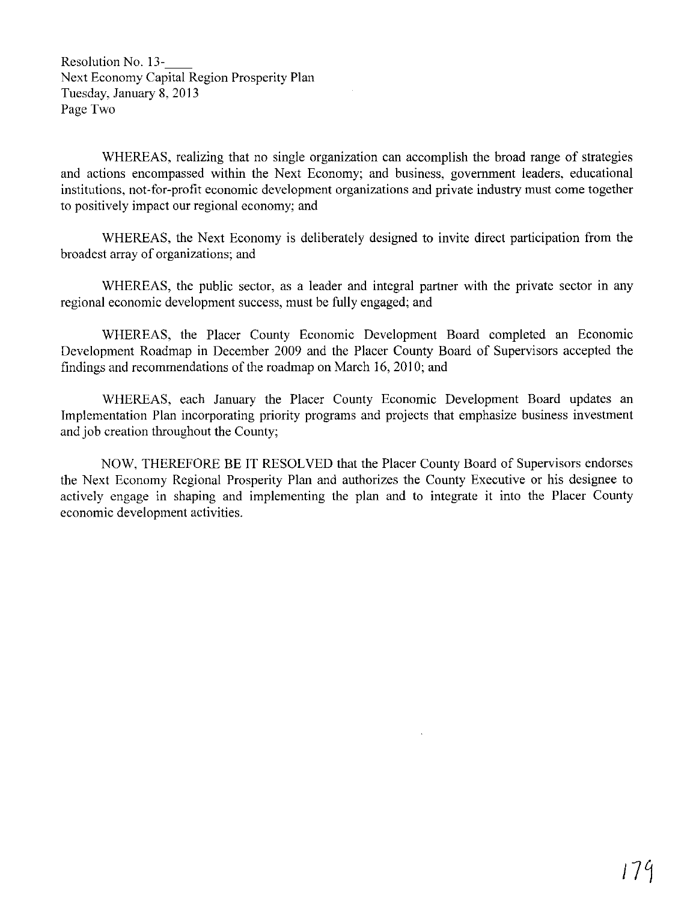Resolution No. 13- Next Economy Capital Region Prosperity Plan Tuesday, January 8, 2013 Page Two

WHEREAS, realizing that no single organization can accomplish the broad range of strategies and actions encompassed within the Next Economy; and business, government leaders, educational institutions, not-for-profit economic development organizations and private industry must come together to positively impact our regional economy; and

WHEREAS, the Next Economy is deliberately designed to invite direct participation from the broadest array of organizations; and

WHEREAS, the public sector, as a leader and integral partner with the private sector in any regional economic development success, must be fully engaged; and

WHEREAS, the Placer County Economic Development Board completed an Economic Development Roadmap in December 2009 and the Placer County Board of Supervisors accepted the findings and recommendations of the roadmap on March 16, 2010; and

WHEREAS, each January the Placer County Economic Development Board updates an Implementation Plan incorporating priority programs and projects that emphasize business investment and job creation throughout the County;

NOW, THEREFORE BE IT RESOLVED that the Placer County Board of Supervisors endorses the Next Economy Regional Prosperity Plan and authorizes the County Executive or his designee to actively engage in shaping and implementing the plan and to integrate it into the Placer County economic development activities.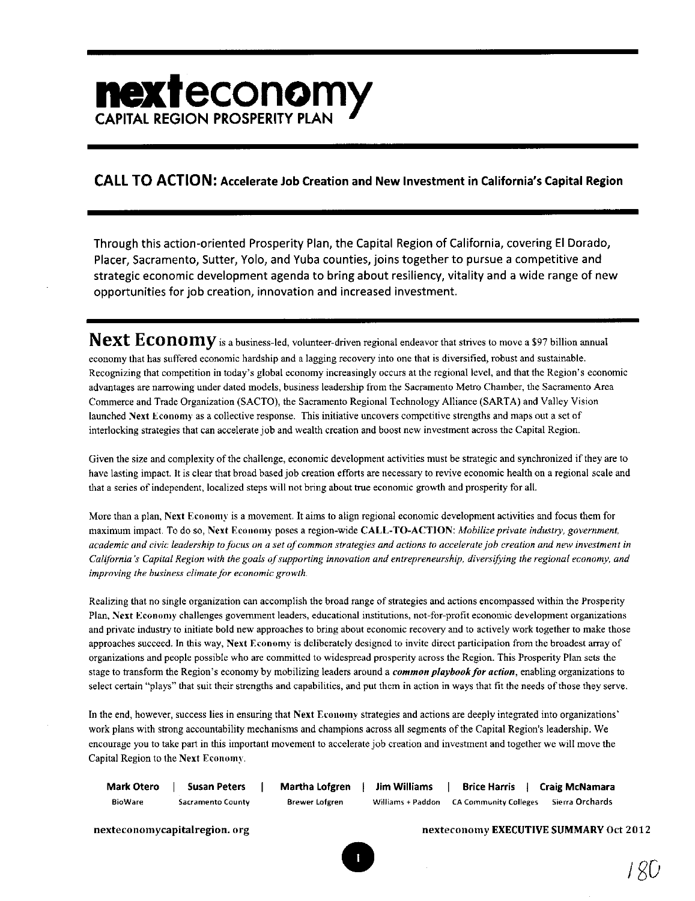# nexteconomy **CAPITAL REGION PROSPERITY PLAN**

## CALL TO ACTION: Accelerate Job Creation and New Investment in California's Capital Region

Through this action-oriented Prosperity Plan, the Capital Region of California, covering EI Dorado, Placer, Sacramento, Sutter, Yolo, and Yuba counties, joins together to pursue a competitive and strategic economic development agenda to bring about resiliency, vitality and a wide range of new opportunities for job creation, innovation and increased investment.

**Next Economy** is a business-led, volunteer-driven regional endeavor that strives to move a \$97 billion annual economy that has suffered economic hardship and a lagging recovery into one that is diversified, robust and sustainable. Recognizing that competition in today's global economy increasingly occurs at the regional level, and that the Region's economic advantages are narrowing under dated models, business leadership from the Sacramento Metro Chamber, the Sacramento Area Commerce and Trade Organization (SACTO), the Sacramento Regional Technology Alliance (SARTA) and Valley Vision launched Next Economy as a collective response. This initiative uncovers competitive strengths and maps out a set of interlocking strategies that can accelerate job and wealth creation and boost new investment across the Capital Region.

Given the size and complexity of the challenge, economic development activities must be strategic and synchronized if they are to have lasting impact. It is clear that broad based job creation efforts are necessary to revive economic health on a regional scale and that a series of independent, localized steps will not bring about true economic growth and prosperity for all.

More than a plan, Next Economy is a movement. It aims to align regional economic development activities and focus them for maximum impact. To do so, Next Economy poses a region-wide CALL-TO-ACTION: *Mobilize private industry, government*, *academic and civic leadership to focus on a set of common strategies and actions to accelerate job creation and new investment in California's Capital Region with the goals of supporting innovation and entrepreneurship, diversifying the regional economy, and improving the business climate for economic growth.* 

Realizing that no single organization can accomplish the broad range of strategies and actions encompassed within the Prosperity Plan, Next Economy challenges government leaders, educational institutions, not-for-profit economic development organizations and private industry to initiate bold new approaches to bring about economic recovery and to actively work together to make those approaches succeed. In this way, Next Economy is deliberately designed to invite direct participation from the broadest array of organizations and people possible who are committed to widespread prosperity across the Region. This Prosperity Plan sets the stage to transform the Region's economy by mobilizing leaders around a *common playbook for action*, enabling organizations to select certain "plays" that suit their strengths and capabilities, and put them in action in ways that fit the needs of those they serve.

In the end, however, success lies in ensuring that Next Economy strategies and actions are deeply integrated into organizations' work plans with strong accountability mechanisms and champions across all segments of the Capital Region's leadership. We encourage you to take part in this important movement to accelerate job creation and investment and together we will move the Capital Region to the Next Economy.

| Mark Otero     | <b>Susan Peters</b>      | <b>Martha Lofgren</b> | <b>Jim Williams</b> | <b>Brice Harris</b>          | Craig McNamara  |
|----------------|--------------------------|-----------------------|---------------------|------------------------------|-----------------|
| <b>BioWare</b> | <b>Sacramento County</b> | Brewer Lofgren        | Williams + Paddon   | <b>CA Community Colleges</b> | Sierra Orchards |

nexteconomycapitalregion.org nexteconomy EXECUTIVE SUMMARY Oct 2012

I RO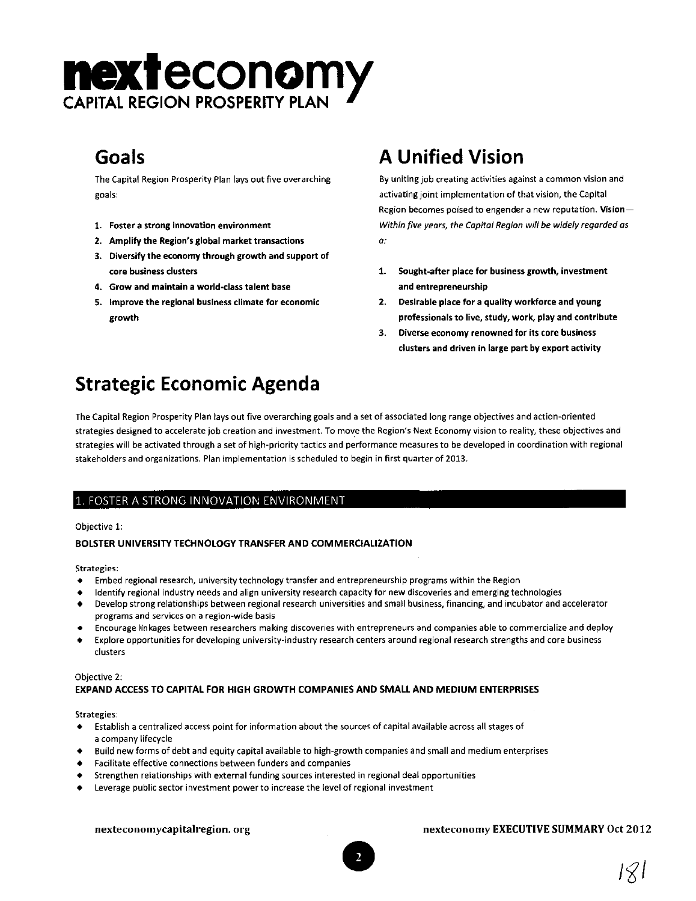# **nexteconomy CAPITAL REGION PROSPERITY PL**

The Capital Region Prosperity Plan lays out fjve overarching goals:

- 1. Foster a strong innovation environment
- 2. Amplify the Region's global market transactions
- 3. Diversify the economy through growth and support of core business clusters
- 4. Grow and maintain a world-class talent base
- 5. Improve the regional business climate for economic growth

## Goals **A Unified Vision**

By uniting job creating activities against a common vision and activating joint implementation of that vision, the Capital Region becomes poised to engender a new reputation. Vision-*Within five years, the Capital Region will be widely regarded as*  a:

- 1. Sought-after place for business growth, investment and entrepreneurship
- 2. Desirable place for a quality workforce and young professionals to live, study, work, play and contribute
- 3. Diverse economy renowned for its core business clusters and driven in large part by export activity

## Strategic Economic Agenda

The Capital Region Prosperity Plan lays out five overarching goals and a set of associated long range objectives and action-oriented strategies designed to accelerate job creation and investment. To move the Region's Next Economy vision to reality, these objectives and strategies will be activated through a set of high-priority tactics and performance measures to be developed in coordination with regional stakeholders and organizations. Plan implementation is scheduled to begin in first quarter of 2013.

#### 1. FOSTER A STRONG INNOVATION ENVIRONMENT

#### Objective 1:

#### BOLSTER UNIVERSITY TECHNOLOGY TRANSFER AND COMMERCIALIZATION

#### Strategies:

- Embed regional research, university technology transfer and entrepreneurship programs within the Region
- Identify regional industry needs and align university research capacity for new discoveries and emerging technologies
- Develop strong relationships between regional research universities and small business, financing, and incubator and accelerator programs and services on a region-wide basis
- Encourage linkages between researchers making discoveries with entrepreneurs and companies able to commercialize and deploy
- Explore opportunities for developing university-industry research centers around regional research strengths and core business clusters

#### Objective 2:

#### EXPAND ACCESS TO CAPITAL FOR HIGH GROWTH COMPANIES AND SMALL AND MEDIUM ENTERPRISES

#### Strategies:

- Establish a centralized access point for information about the sources of capital available across all stages of a company lifecycle
- Build new forms of debt and equity capital available to high-growth companies and small and medium enterprises
- Facilitate effective connections between funders and companies
- Strengthen relationships with external funding sources interested in regional deal opportunities
- Leverage public sector investment power to increase the level of regional investment

# nexteconomycapitalregion.org nexteconomy EXECUTIVE SUMMARY Oct 2012<br>
and the list of the list of the list of the list of the list of the list of the list of the list of the list of the list of the list of the list of the l

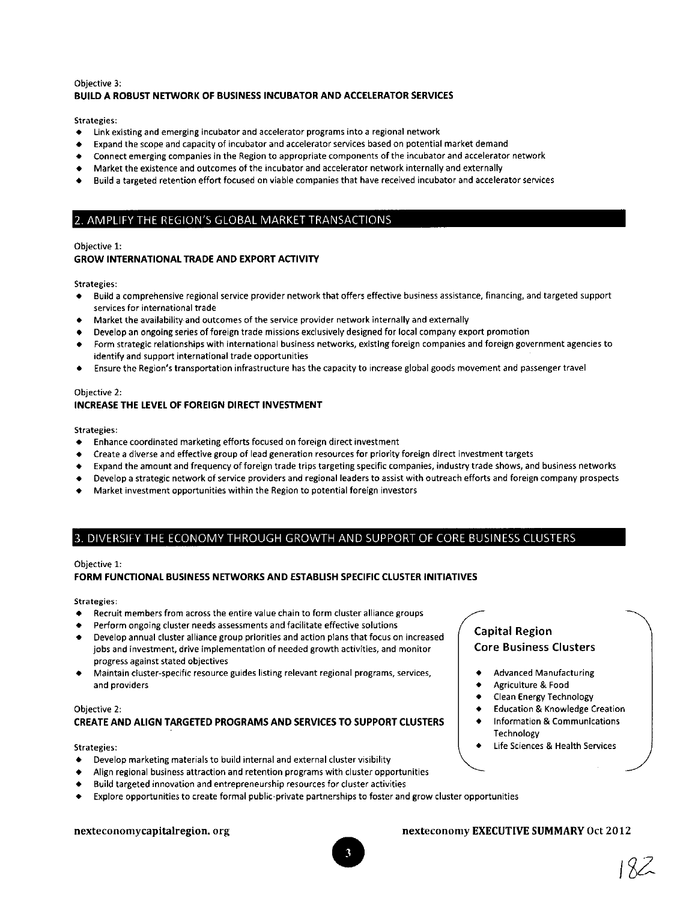#### Objective 3: BUILD A ROBUST NETWORK OF BUSINESS INCUBATOR AND ACCELERATOR SERVICES

Strategies:

- Link existing and emerging incubator and accelerator programs into a regional network
- Expand the scope and capacity of incubator and accelerator services based on potential market demand
- Connect emerging companies in the Region to appropriate components of the incubator and accelerator network
- Market the existence and outcomes of the incubator and accelerator network internally and externally
- Build a targeted retention effort focused on viable companies that have received incubator and accelerator services

#### 2 AMPLIFY THE REGION'S GLOBAL MARKET TRANSACTIONS

#### Objective 1:

#### GROW INTERNATIONAL TRADE AND EXPORT ACTIVITY

Strategies:

- Build a comprehensive regional service provider network that offers effective business assistance, financing, and targeted support services for international trade
- Market the availability and outcomes of the service provider network internally and externally
- Develop an ongoing series of foreign trade missions exclusively designed for local company export promotion
- Form strategic relationships with international business networks, existing foreign companies and foreign government agencies to identify and support international trade opportunities
- Ensure the Region's transportation infrastructure has the capacity to increase global goods movement and passenger travel

#### Objective 2: INCREASE THE LEVEL OF FOREIGN DIRECT INVESTMENT

Strategies:

- Enhance coordinated marketing efforts focused on foreign direct investment
- Create a diverse and effective group of lead generation resources for priority foreign direct investment targets
- Expand the amount and frequency of foreign trade trips targeting specific companies, industry trade shows, and business networks
- Develop a strategic network of service providers and regional leaders to assist with outreach efforts and foreign company prospects
- Market investment opportunities within the Region to potential foreign investors

#### 3. DIVERSIFY THE ECONOMY THROUGH GROWTH AND SUPPORT OF CORE BUSINESS CLUSTERS

#### Objective 1:

#### FORM FUNCTIONAL BUSINESS NETWORKS AND ESTABLISH SPECIFIC CLUSTER INITIATIVES

Strategies:

- Recruit members from across the entire value chain to form cluster alliance groups
- Perform ongoing cluster needs assessments and facilitate effective solutions
- Develop annual cluster alliance group priorities and action plans that focus on increased jobs and investment, drive implementation of needed growth activities, and monitor progress against stated objectives
- Maintain duster-specific resource guides listing relevant regional programs, services, and providers

#### Objective 2: CREATE AND ALIGN TARGETED PROGRAMS AND SERVICES TO SUPPORT CLUSTERS

#### Strategies:

- Develop marketing materials to build internal and external cluster visibility
- Align regional business attraction and retention programs with cluster opportunities
- Build targeted innovation and entrepreneurship resources for cluster activities
- Explore opportunities to create formal public-private partnerships to foster and grow cluster opportunities

#### nexteconomycapitalregion.org nexteconomy EXECUTIVE SUMMARY Oct 2012

Technology

Capital Region

Core Business Clusters

• Advanced Manufacturing • Agriculture & Food • Clean Energy Technology • Education & Knowledge Creation • Information & Communications

• Life Sciences & Health Services

## jZZ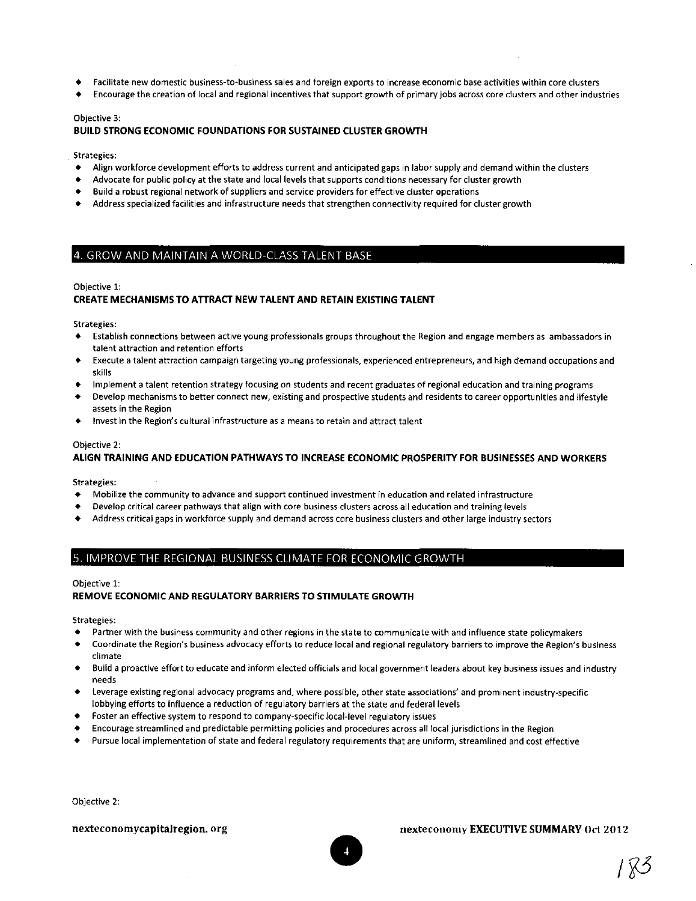- Facilitate new domestic business-to-business sales and foreign exports to increase economic base activities within core clusters
- Encourage the creation of local and regional incentives that support growth of primary jobs across core clusters and other industries

#### Objective 3:

#### BUILD STRONG ECONOMIC FOUNDATIONS FOR SUSTAINED CLUSTER GROWTH

#### Strategies:

- Align workforce development efforts to address current and anticipated gaps in labor supply and demand within the clusters
- Advocate for public policy at the state and local levels that supports conditions necessary for cluster growth
- Build a robust regional network of suppliers and service providers for effective cluster operations
- Address specialized facilities and infrastructure needs that strengthen connectivity required for cluster growth

#### 4 GROW AND MAINTAIN A WORLD-CLASS TALENT BASE

#### Objective 1:

#### CREATE MECHANISMS TO ATTRACT NEW TALENT AND RETAIN EXISTING TALENT

Strategies:

- Establish connections between active young professionals groups throughout the Region and engage members as ambassadors in talent attraction and retention efforts
- Execute a talent attraction campaign targeting young professionals, experienced entrepreneurs, and high demand occupations and skills
- Implement a talent retention strategy focusing on students and recent graduates of regional education and training programs
- Develop mechanisms to better connect new, existing and prospective students and residents to career opportunities and lifestyle assets in the Region
- Invest in the Region's cultural infrastructure as a means to retain and attract talent

#### Objective 2:

#### ALIGN TRAINING AND EDUCATION PATHWAYS TO INCREASE ECONOMIC PROSPERITY FOR BUSINESSES AND WORKERS

Strategies:

- Mobilize the community to advance and support continued investment in education and related infrastructure
- Develop critical career pathways that align with core business clusters across all education and training levels
- Address critical gaps in workforce supply and demand across core business clusters and other large industry sectors

#### 5 IMPROVE THE REGIONAL BUSINESS CLIMATE FOR ECONOMIC GROWTH

#### Objective 1:

#### REMOVE ECONOMIC AND REGULATORY BARRIERS TO STIMULATE GROWTH

Strategies:

- Partner with the business community and other regions in the state to communicate with and influence state policymakers
- Coordinate the Region's business advocacy efforts to reduce local and regional regulatory barriers to improve the Region's business climate
- Build a proactive effort to educate and inform elected officials and local government leaders about key business issues and industry needs
- Leverage existing regional advocacy programs and, where possible, other state associations' and prominent industry-specific lobbying efforts to influence a reduction of regulatory barriers at the state and federal levels
- Foster an effective system to respond to company-specific local-level regulatory issues
- Encourage streamlined and predictable permitting policies and procedures across all local jurisdictions in the Region
- Pursue local implementation of state and federal regulatory requirements that are uniform, streamlined and cost effective

Objective 2:

#### **nexteconomycapitalregion.org** nexteconomy EXECUTIVE SUMMARY Oct 2012